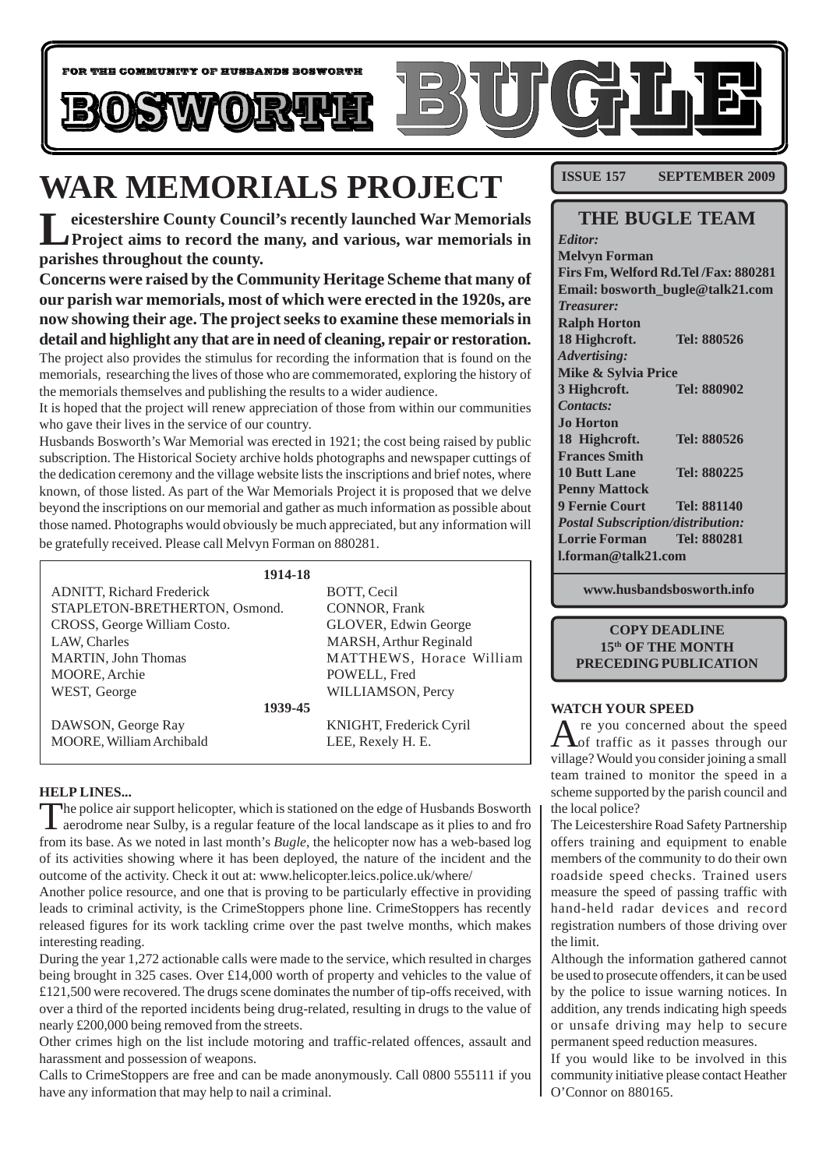

# **WAR MEMORIALS PROJECT**

**Leicestershire County Council's recently launched War Memorials Project aims to record the many, and various, war memorials in parishes throughout the county.**

**Concerns were raised by the Community Heritage Scheme that many of our parish war memorials, most of which were erected in the 1920s, are now showing their age. The project seeks to examine these memorials in detail and highlight any that are in need of cleaning, repair or restoration.** The project also provides the stimulus for recording the information that is found on the memorials, researching the lives of those who are commemorated, exploring the history of the memorials themselves and publishing the results to a wider audience.

It is hoped that the project will renew appreciation of those from within our communities who gave their lives in the service of our country.

Husbands Bosworth's War Memorial was erected in 1921; the cost being raised by public subscription. The Historical Society archive holds photographs and newspaper cuttings of the dedication ceremony and the village website lists the inscriptions and brief notes, where known, of those listed. As part of the War Memorials Project it is proposed that we delve beyond the inscriptions on our memorial and gather as much information as possible about those named. Photographs would obviously be much appreciated, but any information will

be gratefully received. Please call Melvyn Forman on 880281.

| 1914-18                          |                          |
|----------------------------------|--------------------------|
| <b>ADNITT, Richard Frederick</b> | BOTT, Cecil              |
| STAPLETON-BRETHERTON, Osmond.    | <b>CONNOR, Frank</b>     |
| CROSS, George William Costo.     | GLOVER, Edwin George     |
| LAW, Charles                     | MARSH, Arthur Reginald   |
| <b>MARTIN, John Thomas</b>       | MATTHEWS, Horace William |
| MOORE, Archie                    | POWELL, Fred             |
| WEST, George                     | WILLIAMSON, Percy        |
| 1939-45                          |                          |
| DAWSON, George Ray               | KNIGHT, Frederick Cyril  |
| MOORE, William Archibald         | LEE, Rexely H. E.        |
|                                  |                          |

### **HELP LINES...**

The police air support helicopter, which is stationed on the edge of Husbands Bosworth<br>aerodrome near Sulby, is a regular feature of the local landscape as it plies to and fro from its base. As we noted in last month's *Bugle*, the helicopter now has a web-based log of its activities showing where it has been deployed, the nature of the incident and the outcome of the activity. Check it out at: www.helicopter.leics.police.uk/where/

Another police resource, and one that is proving to be particularly effective in providing leads to criminal activity, is the CrimeStoppers phone line. CrimeStoppers has recently released figures for its work tackling crime over the past twelve months, which makes interesting reading.

During the year 1,272 actionable calls were made to the service, which resulted in charges being brought in 325 cases. Over £14,000 worth of property and vehicles to the value of £121,500 were recovered. The drugs scene dominates the number of tip-offs received, with over a third of the reported incidents being drug-related, resulting in drugs to the value of nearly £200,000 being removed from the streets.

Other crimes high on the list include motoring and traffic-related offences, assault and harassment and possession of weapons.

Calls to CrimeStoppers are free and can be made anonymously. Call 0800 555111 if you have any information that may help to nail a criminal.

**ISSUE 157 SEPTEMBER 2009** 

|                                          | <b>THE BUGLE TEAM</b>                 |
|------------------------------------------|---------------------------------------|
| Editor:                                  |                                       |
| <b>Melvyn Forman</b>                     |                                       |
|                                          | Firs Fm, Welford Rd. Tel /Fax: 880281 |
|                                          | Email: bosworth_bugle@talk21.com      |
| <b>Treasurer:</b>                        |                                       |
| <b>Ralph Horton</b>                      |                                       |
| 18 Highcroft.                            | Tel: 880526                           |
| <b>Advertising:</b>                      |                                       |
| Mike & Sylvia Price                      |                                       |
| 3 Highcroft.                             | Tel: 880902                           |
| Contacts:                                |                                       |
| <b>Jo Horton</b>                         |                                       |
| 18 Highcroft.                            | Tel: 880526                           |
| <b>Frances Smith</b>                     |                                       |
| <b>10 Butt Lane</b>                      | Tel: 880225                           |
| <b>Penny Mattock</b>                     |                                       |
| <b>9 Fernie Court</b>                    | Tel: 881140                           |
| <b>Postal Subscription/distribution:</b> |                                       |
| <b>Lorrie Forman</b>                     | Tel: 880281                           |
| <b>Lforman@talk21.com</b>                |                                       |
|                                          |                                       |

**www.husbandsbosworth.info**

### **COPY DEADLINE 15th OF THE MONTH PRECEDING PUBLICATION**

### **WATCH YOUR SPEED**

 $\mathbf A$ re you concerned about the speed<br>of traffic as it passes through our village? Would you consider joining a small team trained to monitor the speed in a scheme supported by the parish council and the local police?

The Leicestershire Road Safety Partnership offers training and equipment to enable members of the community to do their own roadside speed checks. Trained users measure the speed of passing traffic with hand-held radar devices and record registration numbers of those driving over the limit.

Although the information gathered cannot be used to prosecute offenders, it can be used by the police to issue warning notices. In addition, any trends indicating high speeds or unsafe driving may help to secure permanent speed reduction measures.

If you would like to be involved in this community initiative please contact Heather O'Connor on 880165.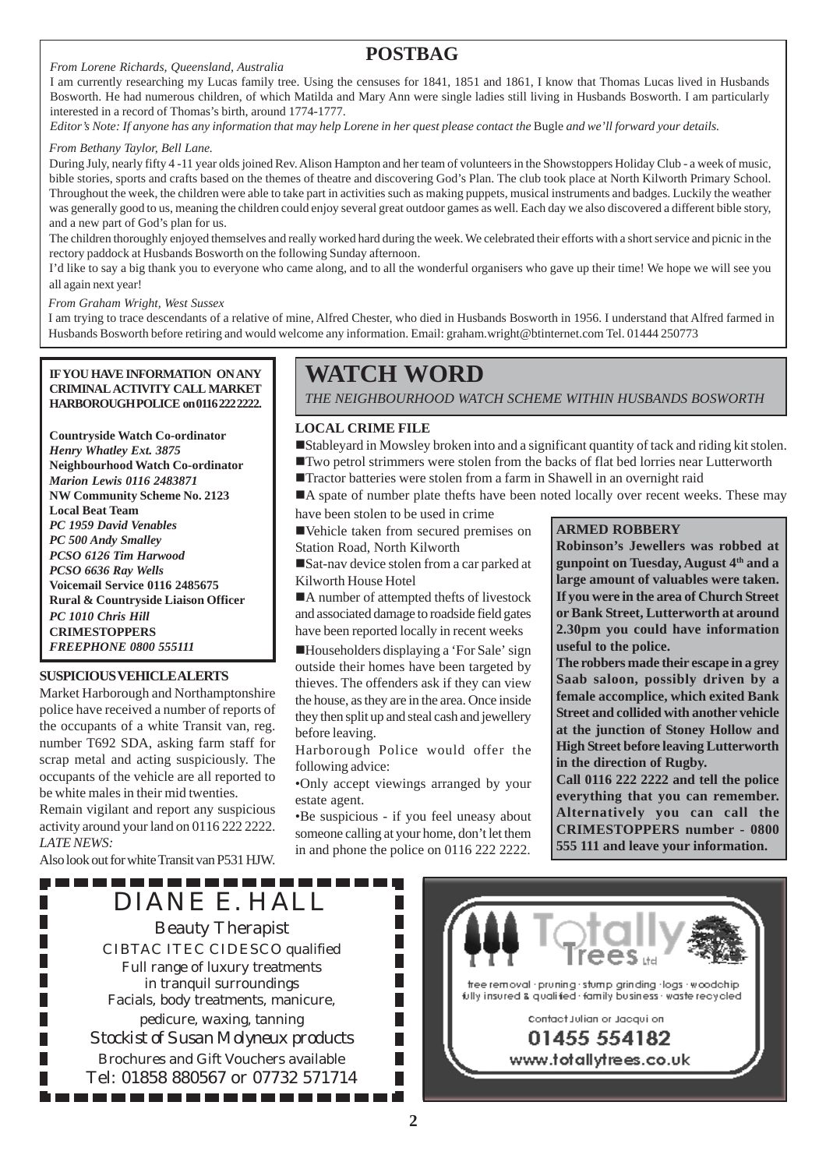#### *From Lorene Richards, Queensland, Australia*

### **POSTBAG**

I am currently researching my Lucas family tree. Using the censuses for 1841, 1851 and 1861, I know that Thomas Lucas lived in Husbands Bosworth. He had numerous children, of which Matilda and Mary Ann were single ladies still living in Husbands Bosworth. I am particularly interested in a record of Thomas's birth, around 1774-1777.

*Editor's Note: If anyone has any information that may help Lorene in her quest please contact the* Bugle *and we'll forward your details.*

#### *From Bethany Taylor, Bell Lane.*

During July, nearly fifty 4 -11 year olds joined Rev. Alison Hampton and her team of volunteers in the Showstoppers Holiday Club - a week of music, bible stories, sports and crafts based on the themes of theatre and discovering God's Plan. The club took place at North Kilworth Primary School. Throughout the week, the children were able to take part in activities such as making puppets, musical instruments and badges. Luckily the weather was generally good to us, meaning the children could enjoy several great outdoor games as well. Each day we also discovered a different bible story, and a new part of God's plan for us.

The children thoroughly enjoyed themselves and really worked hard during the week. We celebrated their efforts with a short service and picnic in the rectory paddock at Husbands Bosworth on the following Sunday afternoon.

I'd like to say a big thank you to everyone who came along, and to all the wonderful organisers who gave up their time! We hope we will see you all again next year!

*From Graham Wright, West Sussex*

I am trying to trace descendants of a relative of mine, Alfred Chester, who died in Husbands Bosworth in 1956. I understand that Alfred farmed in Husbands Bosworth before retiring and would welcome any information. Email: graham.wright@btinternet.com Tel. 01444 250773

**IF YOU HAVE INFORMATION ON ANY CRIMINAL ACTIVITY CALL MARKET HARBOROUGH POLICE on 0116 222 2222.**

**Countryside Watch Co-ordinator** *Henry Whatley Ext. 3875* **Neighbourhood Watch Co-ordinator** *Marion Lewis 0116 2483871* **NW Community Scheme No. 2123 Local Beat Team** *PC 1959 David Venables PC 500 Andy Smalley PCSO 6126 Tim Harwood PCSO 6636 Ray Wells* **Voicemail Service 0116 2485675 Rural & Countryside Liaison Officer** *PC 1010 Chris Hill* **CRIMESTOPPERS** *FREEPHONE 0800 555111*

#### **SUSPICIOUS VEHICLE ALERTS**

Market Harborough and Northamptonshire police have received a number of reports of the occupants of a white Transit van, reg. number T692 SDA, asking farm staff for scrap metal and acting suspiciously. The occupants of the vehicle are all reported to be white males in their mid twenties.

Remain vigilant and report any suspicious activity around your land on 0116 222 2222. *LATE NEWS:*

Also look out for white Transit van P531 HJW. . . . . . . . . . . . . . .

П

П

## **WATCH WORD**

*THE NEIGHBOURHOOD WATCH SCHEME WITHIN HUSBANDS BOSWORTH*

### **LOCAL CRIME FILE**

!Stableyard in Mowsley broken into and a significant quantity of tack and riding kit stolen. !Two petrol strimmers were stolen from the backs of flat bed lorries near Lutterworth

!Tractor batteries were stolen from a farm in Shawell in an overnight raid

 $\blacksquare$  A spate of number plate thefts have been noted locally over recent weeks. These may

have been stolen to be used in crime

!Vehicle taken from secured premises on Station Road, North Kilworth

!Sat-nav device stolen from a car parked at Kilworth House Hotel

■A number of attempted thefts of livestock and associated damage to roadside field gates have been reported locally in recent weeks

!Householders displaying a 'For Sale' sign outside their homes have been targeted by thieves. The offenders ask if they can view the house, as they are in the area. Once inside they then split up and steal cash and jewellery before leaving.

Harborough Police would offer the following advice:

•Only accept viewings arranged by your estate agent.

•Be suspicious - if you feel uneasy about someone calling at your home, don't let them in and phone the police on 0116 222 2222.

### **ARMED ROBBERY**

**Robinson's Jewellers was robbed at gunpoint on Tuesday, August 4th and a large amount of valuables were taken. If you were in the area of Church Street or Bank Street, Lutterworth at around 2.30pm you could have information useful to the police.**

**The robbers made their escape in a grey Saab saloon, possibly driven by a female accomplice, which exited Bank Street and collided with another vehicle at the junction of Stoney Hollow and High Street before leaving Lutterworth in the direction of Rugby.**

**Call 0116 222 2222 and tell the police everything that you can remember. Alternatively you can call the CRIMESTOPPERS number - 0800 555 111 and leave your information.**

DIANE E. HALL Beauty Therapist CIBTAC ITEC CIDESCO qualified Full range of luxury treatments in tranquil surroundings Facials, body treatments, manicure, pedicure, waxing, tanning *Stockist of Susan Molyneux products* Brochures and Gift Vouchers available Tel: 01858 880567 or 07732 571714

. . . . . . . . . . . .

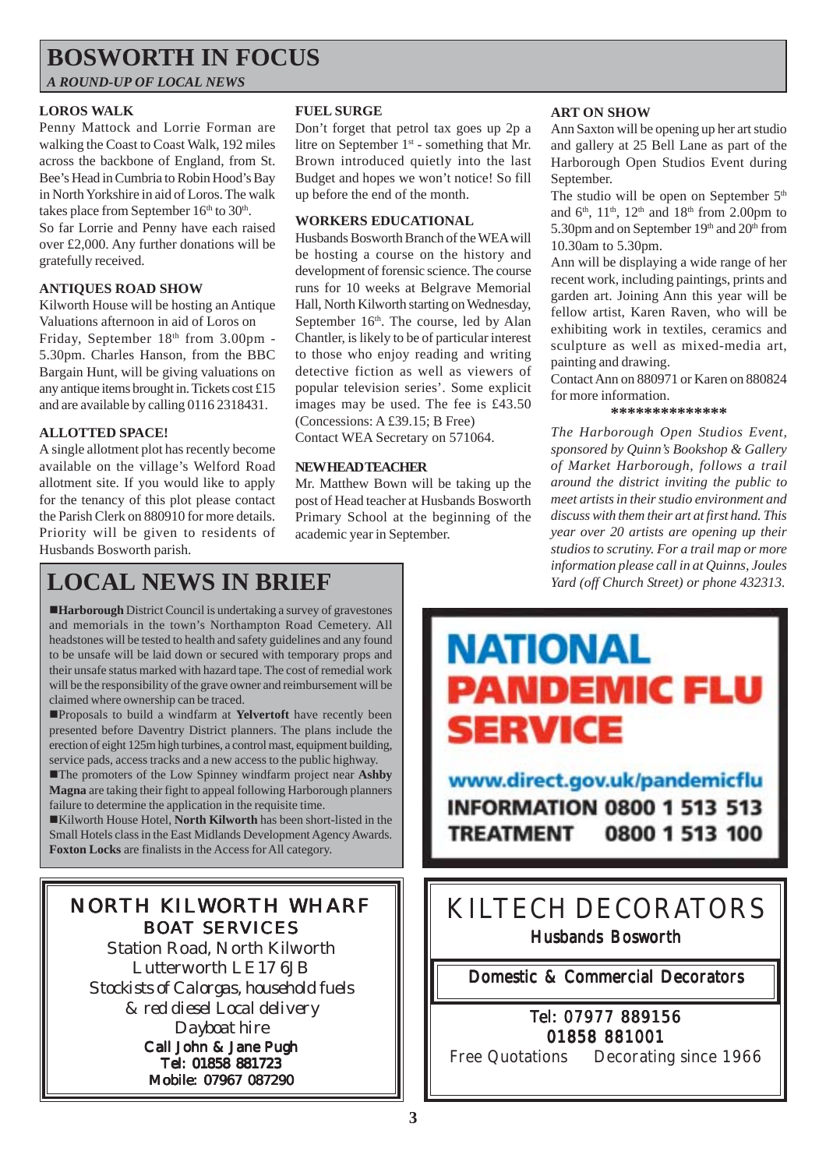# **BOSWORTH IN FOCUS**

*A ROUND-UP OF LOCAL NEWS*

### **LOROS WALK**

Penny Mattock and Lorrie Forman are walking the Coast to Coast Walk, 192 miles across the backbone of England, from St. Bee's Head in Cumbria to Robin Hood's Bay in North Yorkshire in aid of Loros. The walk takes place from September  $16<sup>th</sup>$  to  $30<sup>th</sup>$ . So far Lorrie and Penny have each raised over £2,000. Any further donations will be gratefully received.

### **ANTIQUES ROAD SHOW**

Kilworth House will be hosting an Antique Valuations afternoon in aid of Loros on Friday, September 18th from 3.00pm -5.30pm. Charles Hanson, from the BBC Bargain Hunt, will be giving valuations on any antique items brought in. Tickets cost £15 and are available by calling 0116 2318431.

available on the village's Welford Road allotment site. If you would like to apply for the tenancy of this plot please contact the Parish Clerk on 880910 for more details. Priority will be given to residents of Husbands Bosworth parish.

### **FUEL SURGE**

Don't forget that petrol tax goes up 2p a litre on September  $1<sup>st</sup>$  - something that Mr. Brown introduced quietly into the last Budget and hopes we won't notice! So fill up before the end of the month.

### **WORKERS EDUCATIONAL**

Husbands Bosworth Branch of the WEA will be hosting a course on the history and development of forensic science. The course runs for 10 weeks at Belgrave Memorial Hall, North Kilworth starting on Wednesday, September 16<sup>th</sup>. The course, led by Alan Chantler, is likely to be of particular interest to those who enjoy reading and writing detective fiction as well as viewers of popular television series'. Some explicit images may be used. The fee is £43.50 **ALLOTTED SPACE!** (Concessions: A £39.15; B Free)<br>A single allotment plot has recently become<br>A single allotment plot has recently become

### **NEW HEAD TEACHER**

Mr. Matthew Bown will be taking up the post of Head teacher at Husbands Bosworth Primary School at the beginning of the academic year in September.

### **ART ON SHOW**

Ann Saxton will be opening up her art studio and gallery at 25 Bell Lane as part of the Harborough Open Studios Event during September.

The studio will be open on September  $5<sup>th</sup>$ and  $6<sup>th</sup>$ ,  $11<sup>th</sup>$ ,  $12<sup>th</sup>$  and  $18<sup>th</sup>$  from 2.00pm to 5.30pm and on September 19<sup>th</sup> and 20<sup>th</sup> from 10.30am to 5.30pm.

Ann will be displaying a wide range of her recent work, including paintings, prints and garden art. Joining Ann this year will be fellow artist, Karen Raven, who will be exhibiting work in textiles, ceramics and sculpture as well as mixed-media art, painting and drawing.

Contact Ann on 880971 or Karen on 880824 for more information.

### **\*\*\*\*\*\*\*\*\*\*\*\*\*\***

*The Harborough Open Studios Event, sponsored by Quinn's Bookshop & Gallery of Market Harborough, follows a trail around the district inviting the public to meet artists in their studio environment and discuss with them their art at first hand. This year over 20 artists are opening up their studios to scrutiny. For a trail map or more information please call in at Quinns, Joules Yard (off Church Street) or phone 432313.*

# **LOCAL NEWS IN BRIEF**

!**Harborough** District Council is undertaking a survey of gravestones and memorials in the town's Northampton Road Cemetery. All headstones will be tested to health and safety guidelines and any found to be unsafe will be laid down or secured with temporary props and their unsafe status marked with hazard tape. The cost of remedial work will be the responsibility of the grave owner and reimbursement will be claimed where ownership can be traced.

!Proposals to build a windfarm at **Yelvertoft** have recently been presented before Daventry District planners. The plans include the erection of eight 125m high turbines, a control mast, equipment building, service pads, access tracks and a new access to the public highway.

!The promoters of the Low Spinney windfarm project near **Ashby Magna** are taking their fight to appeal following Harborough planners failure to determine the application in the requisite time.

!Kilworth House Hotel, **North Kilworth** has been short-listed in the Small Hotels class in the East Midlands Development Agency Awards. **Foxton Locks** are finalists in the Access for All category.

### NORTH KILWORTH WHARF BOAT SERVICES

Station Road, North Kilworth Lutterworth LE17 6JB *Stockists of Calorgas, household fuels & red diesel Local delivery Dayboat hire* Call John & Jane Pugh

Tel: 01858 881723 Mobile: 07967 087290

# **NATIONAL PANDEMIC FLU SERVICE**

www.direct.gov.uk/pandemicflu **INFORMATION 0800 1 513 513 TREATMENT** 0800 1 513 100

## KILTECH DECORATORS Husbands Bosworth

Domestic & Commercial Decorators & Commercial Decorators

### Tel: 07977 889156 01858 881001

Free Quotations Decorating since 1966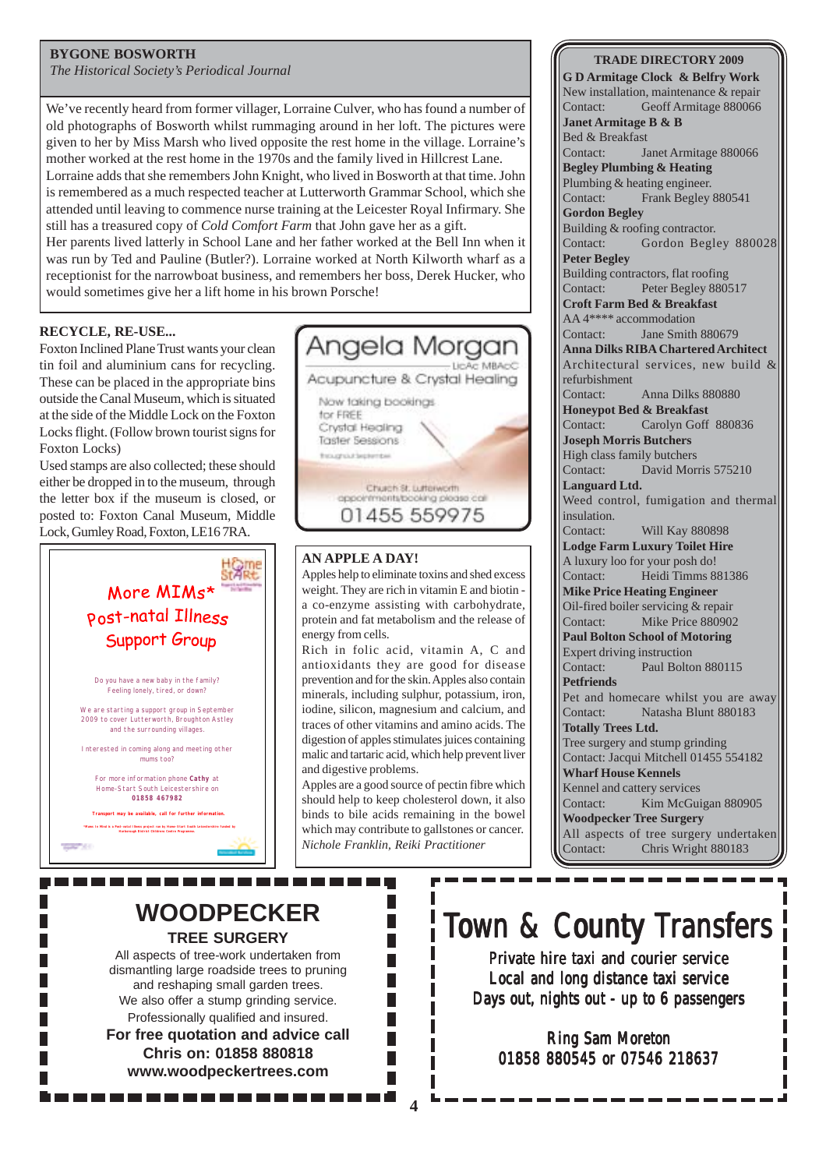### **BYGONE BOSWORTH**

*The Historical Society's Periodical Journal*

We've recently heard from former villager, Lorraine Culver, who has found a number of old photographs of Bosworth whilst rummaging around in her loft. The pictures were given to her by Miss Marsh who lived opposite the rest home in the village. Lorraine's mother worked at the rest home in the 1970s and the family lived in Hillcrest Lane.

Lorraine adds that she remembers John Knight, who lived in Bosworth at that time. John is remembered as a much respected teacher at Lutterworth Grammar School, which she attended until leaving to commence nurse training at the Leicester Royal Infirmary. She still has a treasured copy of *Cold Comfort Farm* that John gave her as a gift.

Her parents lived latterly in School Lane and her father worked at the Bell Inn when it was run by Ted and Pauline (Butler?). Lorraine worked at North Kilworth wharf as a receptionist for the narrowboat business, and remembers her boss, Derek Hucker, who would sometimes give her a lift home in his brown Porsche!

### **RECYCLE, RE-USE...**

Foxton Inclined Plane Trust wants your clean tin foil and aluminium cans for recycling. These can be placed in the appropriate bins outside the Canal Museum, which is situated at the side of the Middle Lock on the Foxton Locks flight. (Follow brown tourist signs for Foxton Locks)

Used stamps are also collected; these should either be dropped in to the museum, through the letter box if the museum is closed, or posted to: Foxton Canal Museum, Middle Lock, Gumley Road, Foxton, LE16 7RA.





### **AN APPLE A DAY!**

Apples help to eliminate toxins and shed excess weight. They are rich in vitamin E and biotin a co-enzyme assisting with carbohydrate, protein and fat metabolism and the release of energy from cells.

Rich in folic acid, vitamin A, C and antioxidants they are good for disease prevention and for the skin. Apples also contain minerals, including sulphur, potassium, iron, iodine, silicon, magnesium and calcium, and traces of other vitamins and amino acids. The digestion of apples stimulates juices containing malic and tartaric acid, which help prevent liver and digestive problems.

Apples are a good source of pectin fibre which should help to keep cholesterol down, it also binds to bile acids remaining in the bowel which may contribute to gallstones or cancer. *Nichole Franklin, Reiki Practitioner*

П

F Г

### **TRADE DIRECTORY 2009**

**G D Armitage Clock & Belfry Work** New installation, maintenance & repair Contact: Geoff Armitage 880066 **Janet Armitage B & B** Bed & Breakfast Contact: Janet Armitage 880066 **Begley Plumbing & Heating** Plumbing & heating engineer. Contact: Frank Begley 880541 **Gordon Begley** Building & roofing contractor. Contact: Gordon Begley 880028 **Peter Begley** Building contractors, flat roofing Contact: Peter Begley 880517 **Croft Farm Bed & Breakfast** AA 4\*\*\*\* accommodation Contact: Jane Smith 880679 **Anna Dilks RIBA Chartered Architect** Architectural services, new build & refurbishment Contact: Anna Dilks 880880 **Honeypot Bed & Breakfast** Contact: Carolyn Goff 880836 **Joseph Morris Butchers** High class family butchers Contact: David Morris 575210 **Languard Ltd.** Weed control, fumigation and thermal insulation. Contact: Will Kay 880898 **Lodge Farm Luxury Toilet Hire** A luxury loo for your posh do! Contact: Heidi Timms 881386 **Mike Price Heating Engineer** Oil-fired boiler servicing & repair Contact: Mike Price 880902 **Paul Bolton School of Motoring** Expert driving instruction Contact: Paul Bolton 880115 **Petfriends** Pet and homecare whilst you are away Contact: Natasha Blunt 880183 **Totally Trees Ltd.** Tree surgery and stump grinding Contact: Jacqui Mitchell 01455 554182 **Wharf House Kennels** Kennel and cattery services Contact: Kim McGuigan 880905 **Woodpecker Tree Surgery** All aspects of tree surgery undertaken Contact: Chris Wright 880183

### **WOODPECKER TREE SURGERY**

-------

All aspects of tree-work undertaken from dismantling large roadside trees to pruning and reshaping small garden trees. We also offer a stump grinding service. Professionally qualified and insured. **For free quotation and advice call Chris on: 01858 880818 www.woodpeckertrees.com**

# Town & County Transfers

Private hire taxi and courier service Local and long distance taxi service Days out, nights out - up to 6 passengers

Ring Sam Moreton 01858 880545 or 07546 218637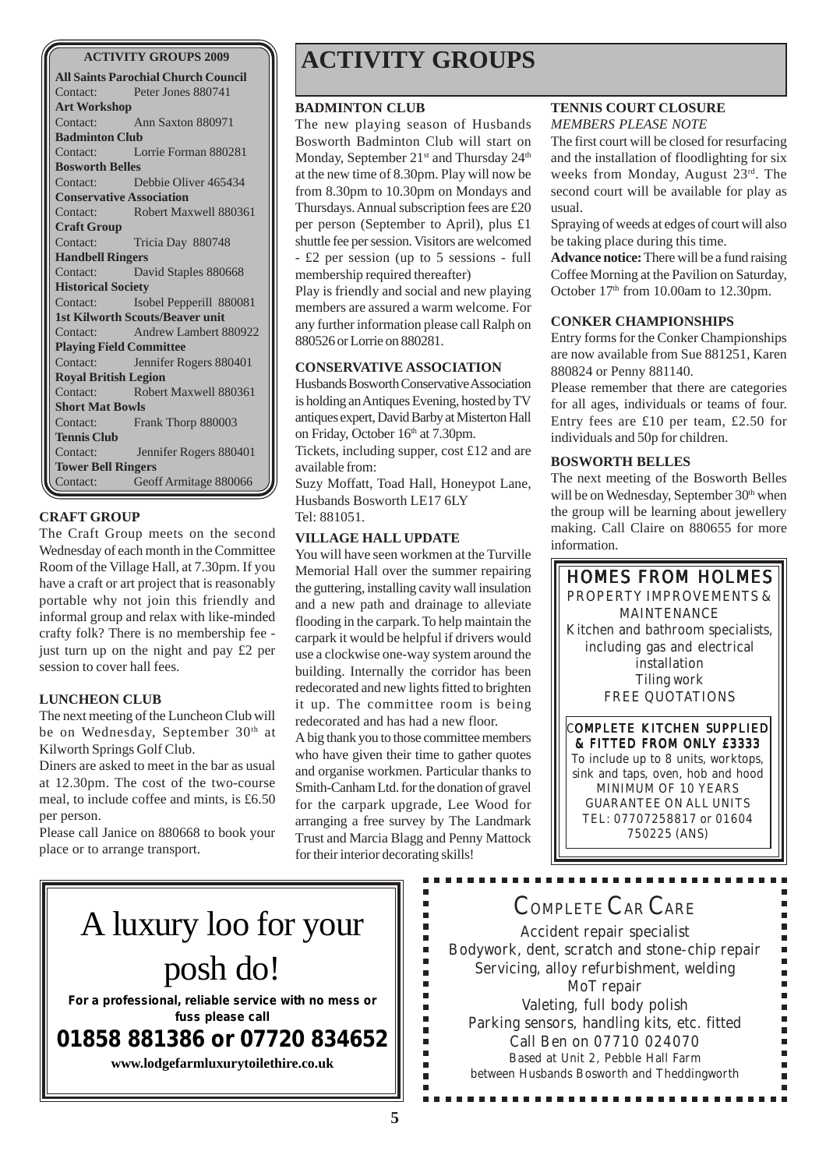**All Saints Parochial Church Council** Contact: Peter Jones 880741 **Art Workshop** Contact: Ann Saxton 880971 **Badminton Club** Contact: Lorrie Forman 880281 **Bosworth Belles** Contact: Debbie Oliver 465434 **Conservative Association** Contact: Robert Maxwell 880361 **Craft Group** Contact: Tricia Day 880748 **Handbell Ringers** Contact: David Staples 880668 **Historical Society** Contact: Isobel Pepperill 880081 **1st Kilworth Scouts/Beaver unit** Contact: Andrew Lambert 880922 **Playing Field Committee** Contact: Jennifer Rogers 880401 **Royal British Legion** Contact: Robert Maxwell 880361 **Short Mat Bowls** Contact: Frank Thorp 880003 **Tennis Club** Contact: Jennifer Rogers 880401 **Tower Bell Ringers** Contact: Geoff Armitage 880066

### **CRAFT GROUP**

The Craft Group meets on the second Wednesday of each month in the Committee Room of the Village Hall, at 7.30pm. If you have a craft or art project that is reasonably portable why not join this friendly and informal group and relax with like-minded crafty folk? There is no membership fee just turn up on the night and pay £2 per session to cover hall fees.

### **LUNCHEON CLUB**

The next meeting of the Luncheon Club will be on Wednesday, September 30<sup>th</sup> at Kilworth Springs Golf Club.

Diners are asked to meet in the bar as usual at 12.30pm. The cost of the two-course meal, to include coffee and mints, is £6.50 per person.

Please call Janice on 880668 to book your place or to arrange transport.

# **ACTIVITY GROUPS 2009 ACTIVITY GROUPS**

### **BADMINTON CLUB**

The new playing season of Husbands Bosworth Badminton Club will start on Monday, September 21<sup>st</sup> and Thursday 24<sup>th</sup> at the new time of 8.30pm. Play will now be from 8.30pm to 10.30pm on Mondays and Thursdays. Annual subscription fees are £20 per person (September to April), plus £1 shuttle fee per session. Visitors are welcomed - £2 per session (up to 5 sessions - full membership required thereafter) Play is friendly and social and new playing members are assured a warm welcome. For any further information please call Ralph on 880526 or Lorrie on 880281.

### **CONSERVATIVE ASSOCIATION**

Husbands Bosworth Conservative Association is holding an Antiques Evening, hosted by TV antiques expert, David Barby at Misterton Hall on Friday, October 16th at 7.30pm.

Tickets, including supper, cost £12 and are available from:

Suzy Moffatt, Toad Hall, Honeypot Lane, Husbands Bosworth LE17 6LY Tel: 881051.

### **VILLAGE HALL UPDATE**

You will have seen workmen at the Turville Memorial Hall over the summer repairing the guttering, installing cavity wall insulation and a new path and drainage to alleviate flooding in the carpark. To help maintain the carpark it would be helpful if drivers would use a clockwise one-way system around the building. Internally the corridor has been redecorated and new lights fitted to brighten it up. The committee room is being redecorated and has had a new floor.

A big thank you to those committee members who have given their time to gather quotes and organise workmen. Particular thanks to Smith-Canham Ltd. for the donation of gravel for the carpark upgrade, Lee Wood for arranging a free survey by The Landmark Trust and Marcia Blagg and Penny Mattock for their interior decorating skills!

> Ė É I. É Ì. Ľ  $\overline{\phantom{a}}$ Î. Ξ É  $\blacksquare$ j. j. i. i.

### **TENNIS COURT CLOSURE** *MEMBERS PLEASE NOTE*

The first court will be closed for resurfacing and the installation of floodlighting for six weeks from Monday, August 23rd. The second court will be available for play as usual.

Spraying of weeds at edges of court will also be taking place during this time.

**Advance notice:** There will be a fund raising Coffee Morning at the Pavilion on Saturday, October 17<sup>th</sup> from 10.00am to 12.30pm.

### **CONKER CHAMPIONSHIPS**

Entry forms for the Conker Championships are now available from Sue 881251, Karen 880824 or Penny 881140.

Please remember that there are categories for all ages, individuals or teams of four. Entry fees are £10 per team, £2.50 for individuals and 50p for children.

### **BOSWORTH BELLES**

The next meeting of the Bosworth Belles will be on Wednesday, September 30<sup>th</sup> when the group will be learning about jewellery making. Call Claire on 880655 for more information.



& FITTED FROM ONLY £3333 To include up to 8 units, worktops, sink and taps, oven, hob and hood MINIMUM OF 10 YEARS GUARANTEE ON ALL UNITS TEL: 07707258817 or 01604 750225 (ANS)

# A luxury loo for your posh do!

**For a professional, reliable service with no mess or fuss please call**

**01858 881386 or 07720 834652**

**www.lodgefarmluxurytoilethire.co.uk**

# COMPLETE CAR CARE

Accident repair specialist Bodywork, dent, scratch and stone-chip repair Servicing, alloy refurbishment, welding MoT repair Valeting, full body polish Parking sensors, handling kits, etc. fitted Call Ben on 07710 024070 Based at Unit 2, Pebble Hall Farm between Husbands Bosworth and Theddingworth

..............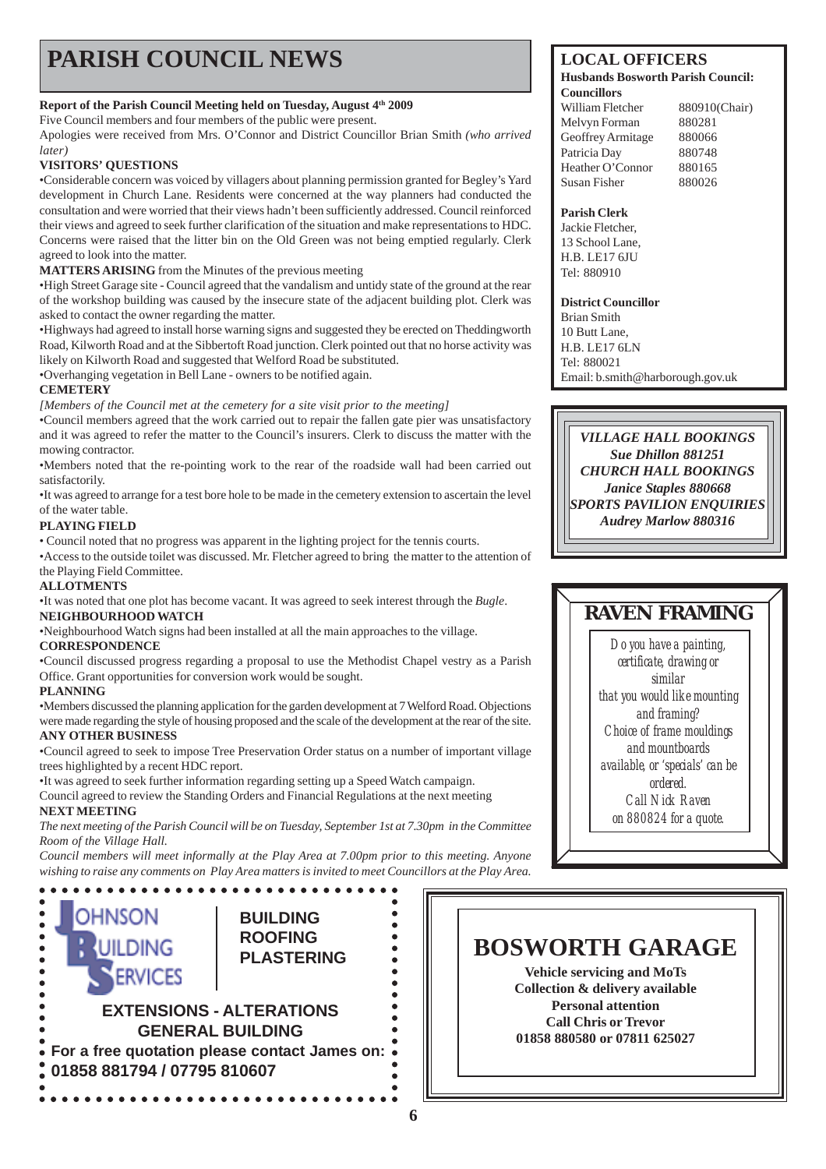# **PARISH COUNCIL NEWS** LOCAL OFFICERS

### **Report of the Parish Council Meeting held on Tuesday, August 4th 2009**

Five Council members and four members of the public were present.

Apologies were received from Mrs. O'Connor and District Councillor Brian Smith *(who arrived later)*

### **VISITORS' QUESTIONS**

•Considerable concern was voiced by villagers about planning permission granted for Begley's Yard development in Church Lane. Residents were concerned at the way planners had conducted the consultation and were worried that their views hadn't been sufficiently addressed. Council reinforced their views and agreed to seek further clarification of the situation and make representations to HDC. Concerns were raised that the litter bin on the Old Green was not being emptied regularly. Clerk agreed to look into the matter.

**MATTERS ARISING** from the Minutes of the previous meeting

•High Street Garage site - Council agreed that the vandalism and untidy state of the ground at the rear of the workshop building was caused by the insecure state of the adjacent building plot. Clerk was asked to contact the owner regarding the matter.

•Highways had agreed to install horse warning signs and suggested they be erected on Theddingworth Road, Kilworth Road and at the Sibbertoft Road junction. Clerk pointed out that no horse activity was likely on Kilworth Road and suggested that Welford Road be substituted.

•Overhanging vegetation in Bell Lane - owners to be notified again.

### **CEMETERY**

*[Members of the Council met at the cemetery for a site visit prior to the meeting]*

•Council members agreed that the work carried out to repair the fallen gate pier was unsatisfactory and it was agreed to refer the matter to the Council's insurers. Clerk to discuss the matter with the mowing contractor.

•Members noted that the re-pointing work to the rear of the roadside wall had been carried out satisfactorily.

•It was agreed to arrange for a test bore hole to be made in the cemetery extension to ascertain the level of the water table.

### **PLAYING FIELD**

• Council noted that no progress was apparent in the lighting project for the tennis courts.

•Access to the outside toilet was discussed. Mr. Fletcher agreed to bring the matter to the attention of the Playing Field Committee.

### **ALLOTMENTS**

•It was noted that one plot has become vacant. It was agreed to seek interest through the *Bugle*. **NEIGHBOURHOOD WATCH**

•Neighbourhood Watch signs had been installed at all the main approaches to the village.

### **CORRESPONDENCE**

•Council discussed progress regarding a proposal to use the Methodist Chapel vestry as a Parish Office. Grant opportunities for conversion work would be sought.

### **PLANNING**

•Members discussed the planning application for the garden development at 7 Welford Road. Objections were made regarding the style of housing proposed and the scale of the development at the rear of the site.

### **ANY OTHER BUSINESS**

•Council agreed to seek to impose Tree Preservation Order status on a number of important village trees highlighted by a recent HDC report.

•It was agreed to seek further information regarding setting up a Speed Watch campaign.

Council agreed to review the Standing Orders and Financial Regulations at the next meeting **NEXT MEETING**

*The next meeting of the Parish Council will be on Tuesday, September 1st at 7.30pm in the Committee Room of the Village Hall.*

*Council members will meet informally at the Play Area at 7.00pm prior to this meeting. Anyone wishing to raise any comments on Play Area matters is invited to meet Councillors at the Play Area.*



#### **Husbands Bosworth Parish Council: Councillors**

William Fletcher 880910(Chair) Melvyn Forman 880281 Geoffrey Armitage 880066 Patricia Day 880748 Heather O'Connor 880165 Susan Fisher 880026

#### **Parish Clerk**

Jackie Fletcher, 13 School Lane, H.B. LE17 6JU Tel: 880910

### **District Councillor**

Brian Smith 10 Butt Lane, H.B. LE17 6LN Tel: 880021 Email: b.smith@harborough.gov.uk

*VILLAGE HALL BOOKINGS Sue Dhillon 881251 CHURCH HALL BOOKINGS Janice Staples 880668 SPORTS PAVILION ENQUIRIES Audrey Marlow 880316*

## **RAVEN FRAMING**

*Do you have a painting, certificate, drawing or similar that you would like mounting and framing? Choice of frame mouldings and mountboards available, or 'specials' can be ordered. Call Nick Raven on 880824 for a quote.*

# **BOSWORTH GARAGE**

**Vehicle servicing and MoTs Collection & delivery available Personal attention Call Chris or Trevor 01858 880580 or 07811 625027**

 $\bullet$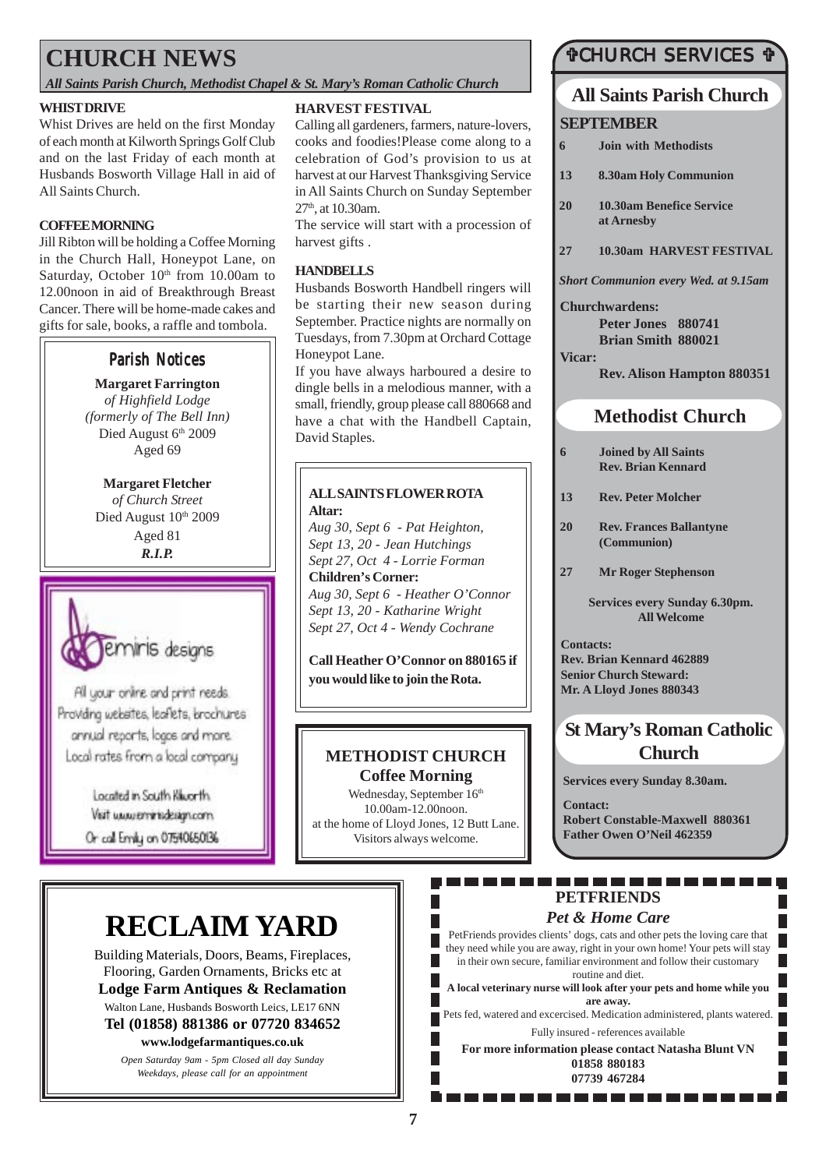# **CHURCH NEWS**

### *All Saints Parish Church, Methodist Chapel & St. Mary's Roman Catholic Church*

### **WHIST DRIVE**

Whist Drives are held on the first Monday of each month at Kilworth Springs Golf Club and on the last Friday of each month at Husbands Bosworth Village Hall in aid of All Saints Church.

### **COFFEE MORNING**

Jill Ribton will be holding a Coffee Morning in the Church Hall, Honeypot Lane, on Saturday, October  $10<sup>th</sup>$  from 10.00am to 12.00noon in aid of Breakthrough Breast Cancer. There will be home-made cakes and gifts for sale, books, a raffle and tombola.

### **Parish Notices**

**Margaret Farrington** *of Highfield Lodge (formerly of The Bell Inn)* Died August 6th 2009 Aged 69

**Margaret Fletcher** *of Church Street* Died August 10th 2009 Aged 81 *R.I.P.*



All your online and print needs. Providing websites, leaflets, brochures annual reports, logos and more. Local rates from a local company

> Located in South Kiworth. Visit www.enninidesign.com Or call Emily on 07540650136

### **HARVEST FESTIVAL**

Calling all gardeners, farmers, nature-lovers, cooks and foodies!Please come along to a celebration of God's provision to us at harvest at our Harvest Thanksgiving Service in All Saints Church on Sunday September 27<sup>th</sup>, at 10.30am.

The service will start with a procession of harvest gifts .

### **HANDBELLS**

Husbands Bosworth Handbell ringers will be starting their new season during September. Practice nights are normally on Tuesdays, from 7.30pm at Orchard Cottage Honeypot Lane.

If you have always harboured a desire to dingle bells in a melodious manner, with a small, friendly, group please call 880668 and have a chat with the Handbell Captain, David Staples.

### **ALL SAINTS FLOWER ROTA Altar:**

*Aug 30, Sept 6 - Pat Heighton, Sept 13, 20 - Jean Hutchings Sept 27, Oct 4 - Lorrie Forman* **Children's Corner:** *Aug 30, Sept 6 - Heather O'Connor Sept 13, 20 - Katharine Wright Sept 27, Oct 4 - Wendy Cochrane*

**Call Heather O'Connor on 880165 if you would like to join the Rota.**

### **METHODIST CHURCH Coffee Morning**

Wednesday, September 16<sup>th</sup> 10.00am-12.00noon. at the home of Lloyd Jones, 12 Butt Lane. Visitors always welcome.

### "CHURCH SERVICES "

# **All Saints Parish Church**

### **SEPTEMBER**

**6 Join with Methodists 13 8.30am Holy Communion 20 10.30am Benefice Service at Arnesby 27 10.30am HARVEST FESTIVAL** *Short Communion every Wed. at 9.15am*

**Churchwardens:**

**Peter Jones 880741 Brian Smith 880021**

### **Vicar:**

**Rev. Alison Hampton 880351**

### **Methodist Church**

- **6 Joined by All Saints Rev. Brian Kennard**
- **13 Rev. Peter Molcher**
- **20 Rev. Frances Ballantyne (Communion)**
- **27 Mr Roger Stephenson**

**Services every Sunday 6.30pm. All Welcome**

**Contacts: Rev. Brian Kennard 462889 Senior Church Steward: Mr. A Lloyd Jones 880343**

### **St Mary's Roman Catholic Church**

**Services every Sunday 8.30am.**

**Contact: Robert Constable-Maxwell 880361 Father Owen O'Neil 462359**

# **RECLAIM YARD**

Building Materials, Doors, Beams, Fireplaces, Flooring, Garden Ornaments, Bricks etc at **Lodge Farm Antiques & Reclamation** Walton Lane, Husbands Bosworth Leics, LE17 6NN **Tel (01858) 881386 or 07720 834652 www.lodgefarmantiques.co.uk**

> *Open Saturday 9am - 5pm Closed all day Sunday Weekdays, please call for an appointment*

### . . . . . . . . . . . **PETFRIENDS**

### *Pet & Home Care*

PetFriends provides clients' dogs, cats and other pets the loving care that they need while you are away, right in your own home! Your pets will stay in their own secure, familiar environment and follow their customary routine and diet.

**A local veterinary nurse will look after your pets and home while you are away.**

Pets fed, watered and excercised. Medication administered, plants watered. Fully insured - references available

**For more information please contact Natasha Blunt VN 01858 880183 07739 467284**

. . . . . . . . . . .